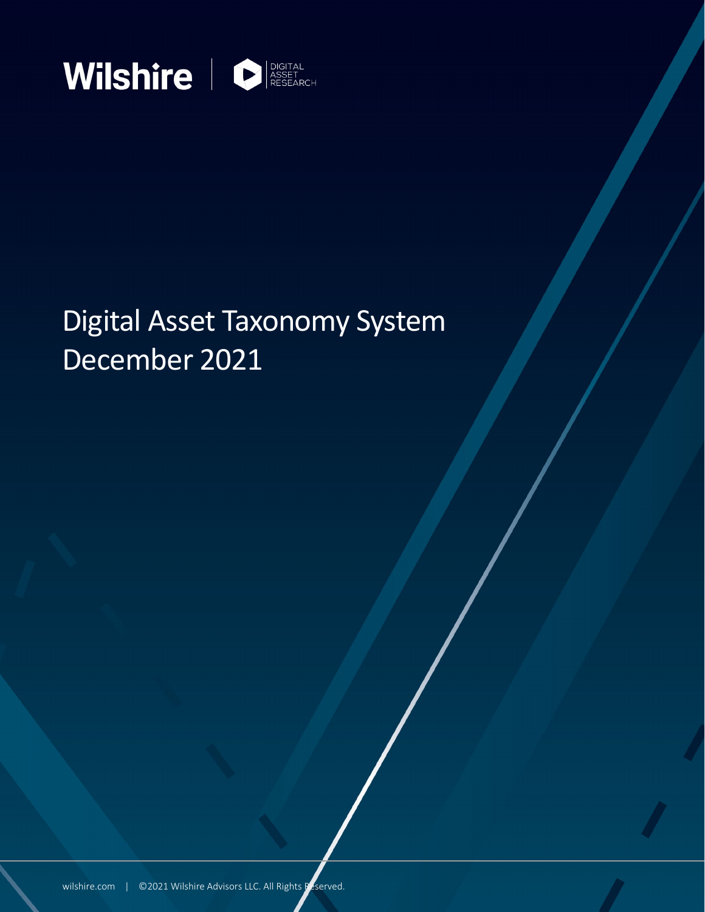

# Digital Asset Taxonomy System December 2021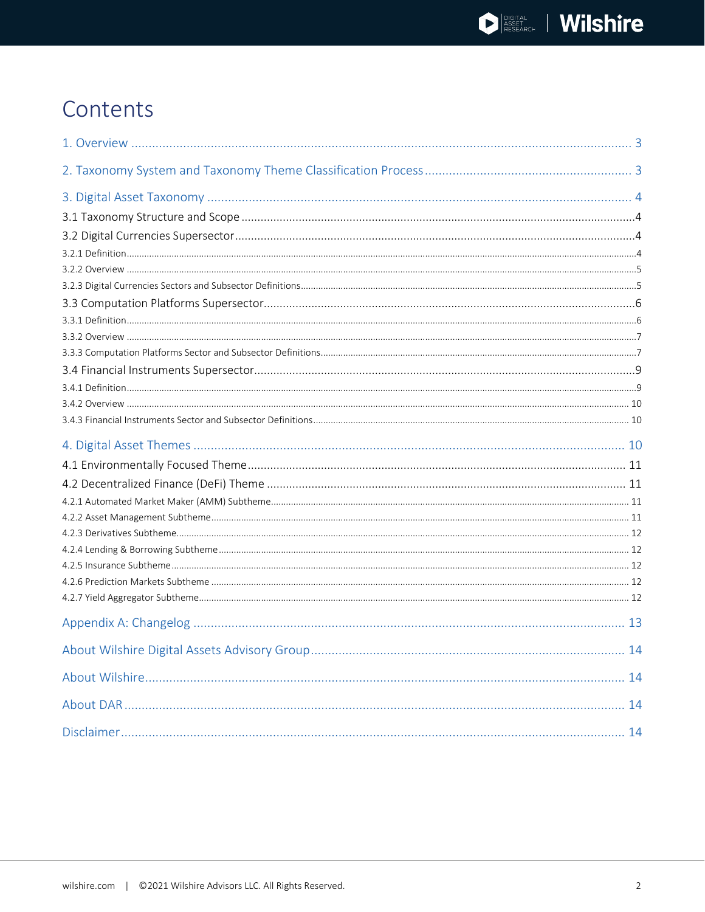## Contents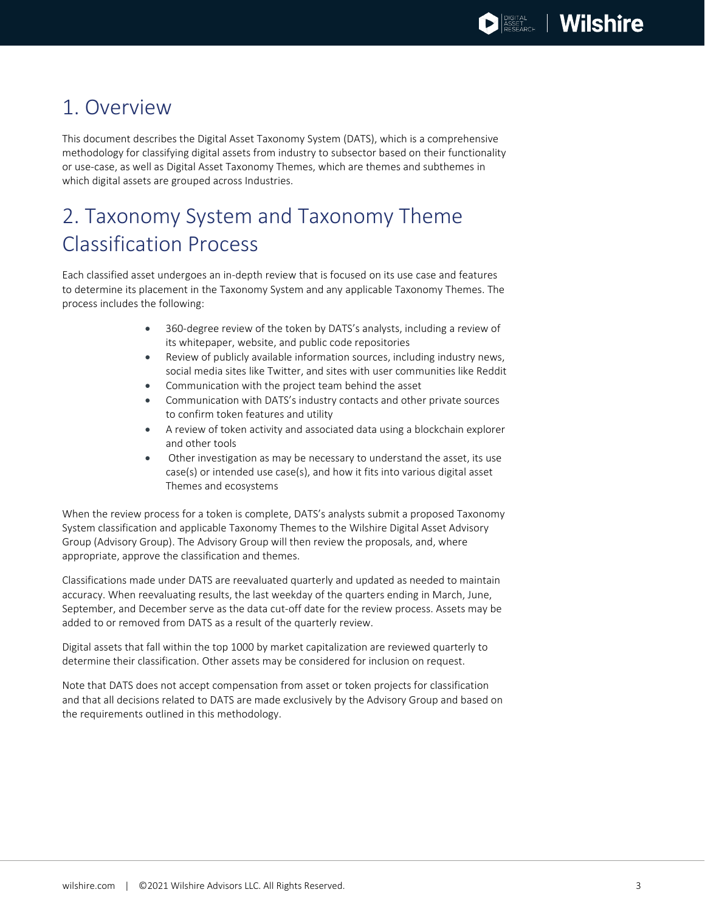## <span id="page-2-0"></span>1. Overview

This document describes the Digital Asset Taxonomy System (DATS), which is a comprehensive methodology for classifying digital assets from industry to subsector based on their functionality or use-case, as well as Digital Asset Taxonomy Themes, which are themes and subthemes in which digital assets are grouped across Industries.

## <span id="page-2-1"></span>2. Taxonomy System and Taxonomy Theme Classification Process

Each classified asset undergoes an in-depth review that is focused on its use case and features to determine its placement in the Taxonomy System and any applicable Taxonomy Themes. The process includes the following:

- 360-degree review of the token by DATS's analysts, including a review of its whitepaper, website, and public code repositories
- Review of publicly available information sources, including industry news, social media sites like Twitter, and sites with user communities like Reddit
- Communication with the project team behind the asset
- Communication with DATS's industry contacts and other private sources to confirm token features and utility
- A review of token activity and associated data using a blockchain explorer and other tools
- Other investigation as may be necessary to understand the asset, its use case(s) or intended use case(s), and how it fits into various digital asset Themes and ecosystems

When the review process for a token is complete, DATS's analysts submit a proposed Taxonomy System classification and applicable Taxonomy Themes to the Wilshire Digital Asset Advisory Group (Advisory Group). The Advisory Group will then review the proposals, and, where appropriate, approve the classification and themes.

Classifications made under DATS are reevaluated quarterly and updated as needed to maintain accuracy. When reevaluating results, the last weekday of the quarters ending in March, June, September, and December serve as the data cut-off date for the review process. Assets may be added to or removed from DATS as a result of the quarterly review.

Digital assets that fall within the top 1000 by market capitalization are reviewed quarterly to determine their classification. Other assets may be considered for inclusion on request.

Note that DATS does not accept compensation from asset or token projects for classification and that all decisions related to DATS are made exclusively by the Advisory Group and based on the requirements outlined in this methodology.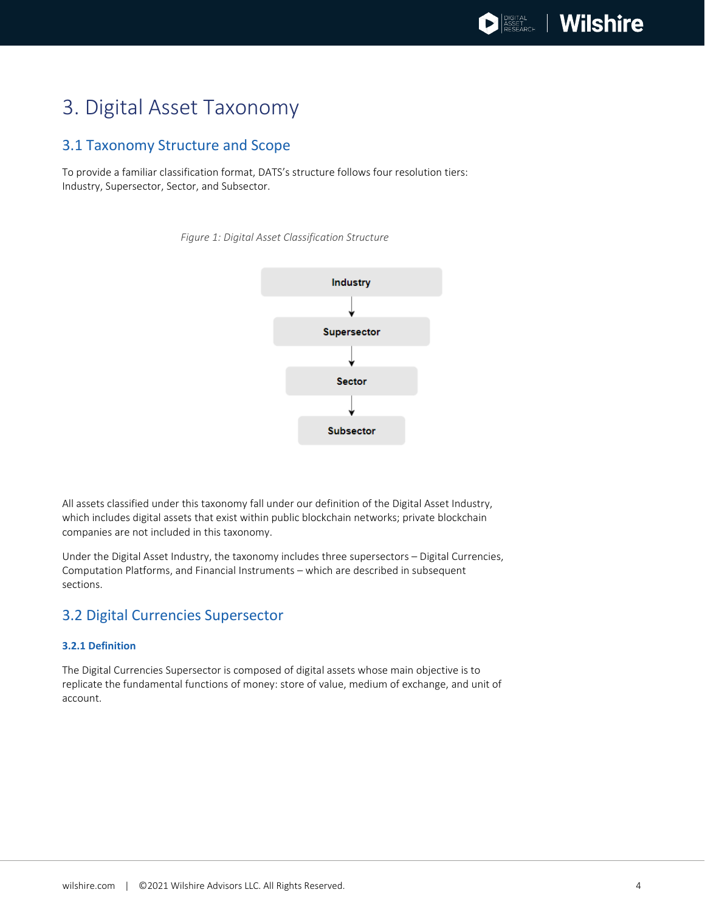## <span id="page-3-0"></span>3. Digital Asset Taxonomy

### <span id="page-3-1"></span>3.1 Taxonomy Structure and Scope

To provide a familiar classification format, DATS's structure follows four resolution tiers: Industry, Supersector, Sector, and Subsector.



**Subsector** 

*Figure 1: Digital Asset Classification Structure*

All assets classified under this taxonomy fall under our definition of the Digital Asset Industry, which includes digital assets that exist within public blockchain networks; private blockchain companies are not included in this taxonomy.

Under the Digital Asset Industry, the taxonomy includes three supersectors – Digital Currencies, Computation Platforms, and Financial Instruments – which are described in subsequent sections.

### <span id="page-3-2"></span>3.2 Digital Currencies Supersector

### <span id="page-3-3"></span>**3.2.1 Definition**

The Digital Currencies Supersector is composed of digital assets whose main objective is to replicate the fundamental functions of money: store of value, medium of exchange, and unit of account.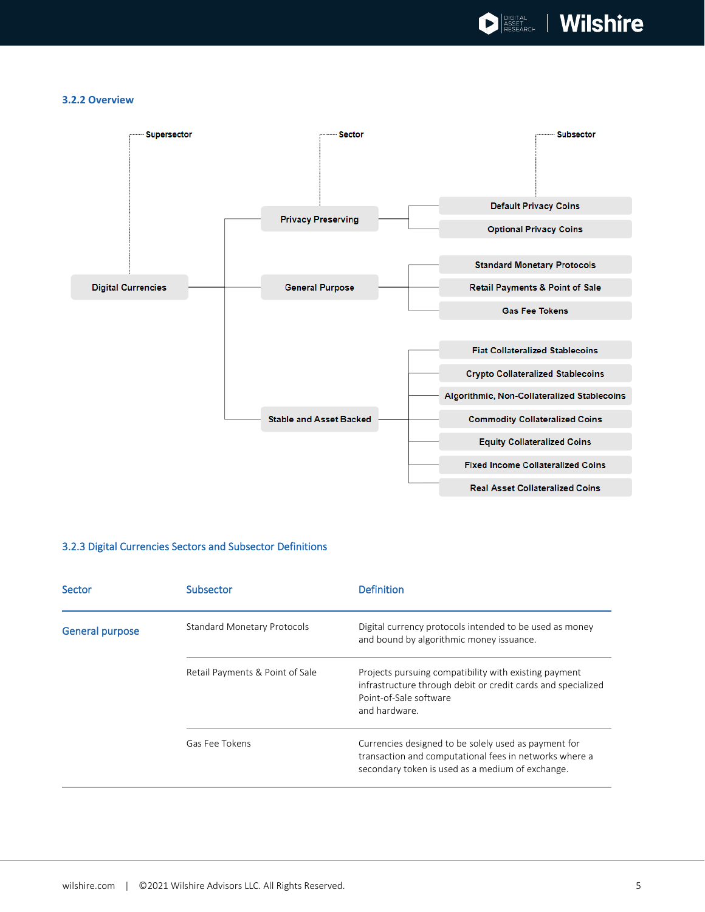

#### <span id="page-4-0"></span>**3.2.2 Overview**



### <span id="page-4-1"></span>3.2.3 Digital Currencies Sectors and Subsector Definitions

| Sector          | Subsector                          | <b>Definition</b>                                                                                                                                                  |
|-----------------|------------------------------------|--------------------------------------------------------------------------------------------------------------------------------------------------------------------|
| General purpose | <b>Standard Monetary Protocols</b> | Digital currency protocols intended to be used as money<br>and bound by algorithmic money issuance.                                                                |
|                 | Retail Payments & Point of Sale    | Projects pursuing compatibility with existing payment<br>infrastructure through debit or credit cards and specialized<br>Point-of-Sale software<br>and hardware.   |
|                 | Gas Fee Tokens                     | Currencies designed to be solely used as payment for<br>transaction and computational fees in networks where a<br>secondary token is used as a medium of exchange. |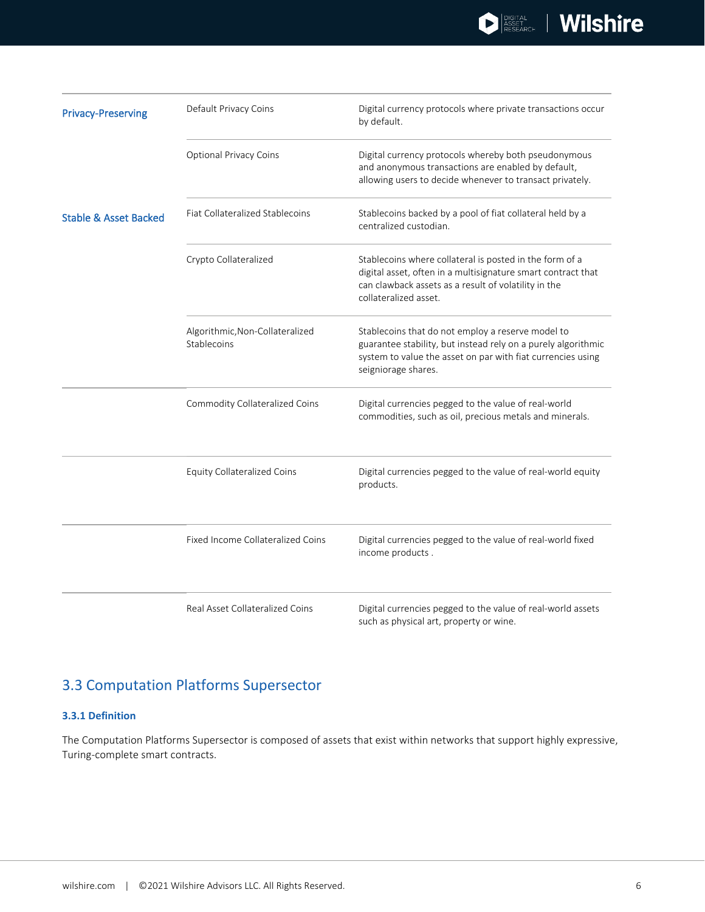| <b>Privacy-Preserving</b>        | Default Privacy Coins                          | Digital currency protocols where private transactions occur<br>by default.                                                                                                                               |
|----------------------------------|------------------------------------------------|----------------------------------------------------------------------------------------------------------------------------------------------------------------------------------------------------------|
|                                  | <b>Optional Privacy Coins</b>                  | Digital currency protocols whereby both pseudonymous<br>and anonymous transactions are enabled by default,<br>allowing users to decide whenever to transact privately.                                   |
| <b>Stable &amp; Asset Backed</b> | Fiat Collateralized Stablecoins                | Stablecoins backed by a pool of fiat collateral held by a<br>centralized custodian.                                                                                                                      |
|                                  | Crypto Collateralized                          | Stablecoins where collateral is posted in the form of a<br>digital asset, often in a multisignature smart contract that<br>can clawback assets as a result of volatility in the<br>collateralized asset. |
|                                  | Algorithmic, Non-Collateralized<br>Stablecoins | Stablecoins that do not employ a reserve model to<br>guarantee stability, but instead rely on a purely algorithmic<br>system to value the asset on par with fiat currencies using<br>seigniorage shares. |
|                                  | Commodity Collateralized Coins                 | Digital currencies pegged to the value of real-world<br>commodities, such as oil, precious metals and minerals.                                                                                          |
|                                  | <b>Equity Collateralized Coins</b>             | Digital currencies pegged to the value of real-world equity<br>products.                                                                                                                                 |
|                                  | Fixed Income Collateralized Coins              | Digital currencies pegged to the value of real-world fixed<br>income products.                                                                                                                           |
|                                  | Real Asset Collateralized Coins                | Digital currencies pegged to the value of real-world assets<br>such as physical art, property or wine.                                                                                                   |

### <span id="page-5-0"></span>3.3 Computation Platforms Supersector

### <span id="page-5-1"></span>**3.3.1 Definition**

The Computation Platforms Supersector is composed of assets that exist within networks that support highly expressive, Turing-complete smart contracts.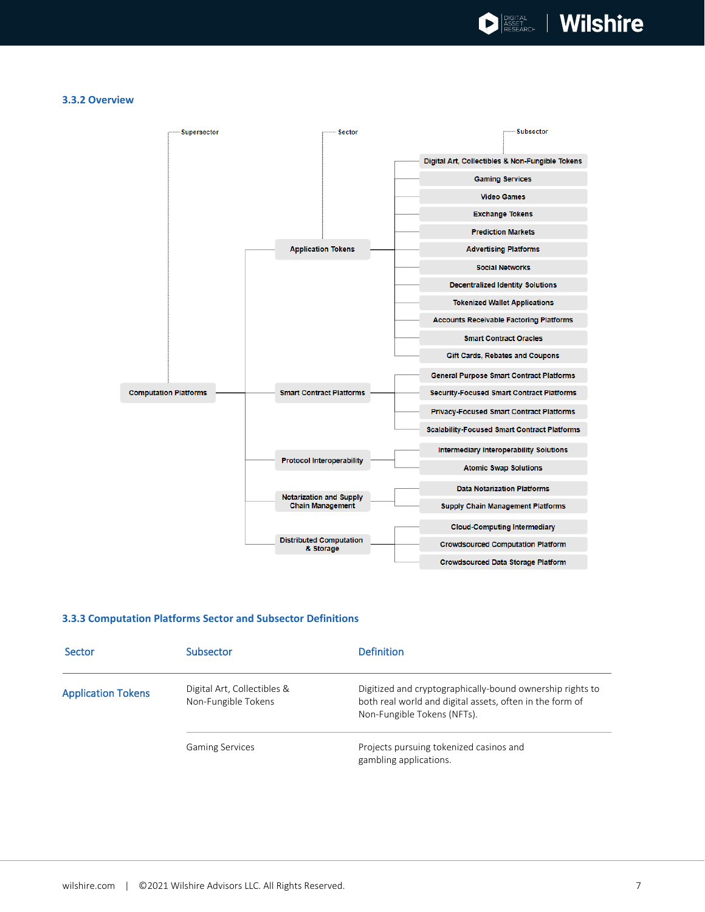#### <span id="page-6-0"></span>**3.3.2 Overview**



#### <span id="page-6-1"></span>**3.3.3 Computation Platforms Sector and Subsector Definitions**

| Sector                    | Subsector                                          | <b>Definition</b>                                                                                                                                    |
|---------------------------|----------------------------------------------------|------------------------------------------------------------------------------------------------------------------------------------------------------|
| <b>Application Tokens</b> | Digital Art, Collectibles &<br>Non-Fungible Tokens | Digitized and cryptographically-bound ownership rights to<br>both real world and digital assets, often in the form of<br>Non-Fungible Tokens (NFTs). |
|                           | <b>Gaming Services</b>                             | Projects pursuing tokenized casinos and<br>gambling applications.                                                                                    |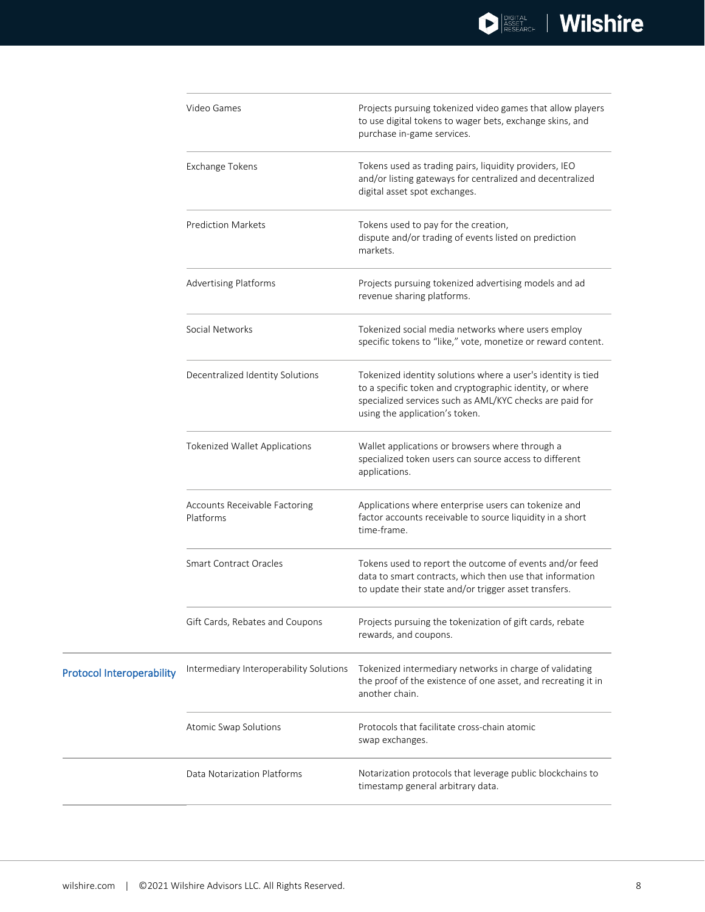| Video Games                      | Projects pursuing tokenized video games that allow players<br>to use digital tokens to wager bets, exchange skins, and<br>purchase in-game services.                                                                                                |                                                                                                                                                                                                                                                                                                                                                                                                                                                                                          |
|----------------------------------|-----------------------------------------------------------------------------------------------------------------------------------------------------------------------------------------------------------------------------------------------------|------------------------------------------------------------------------------------------------------------------------------------------------------------------------------------------------------------------------------------------------------------------------------------------------------------------------------------------------------------------------------------------------------------------------------------------------------------------------------------------|
|                                  | Exchange Tokens<br><b>Prediction Markets</b><br><b>Advertising Platforms</b><br>Social Networks<br>Decentralized Identity Solutions<br>Tokenized Wallet Applications<br>Accounts Receivable Factoring<br>Platforms<br><b>Smart Contract Oracles</b> | Tokens used as trading pairs, liquidity providers, IEO<br>and/or listing gateways for centralized and decentralized<br>digital asset spot exchanges.<br>Tokens used to pay for the creation,<br>dispute and/or trading of events listed on prediction<br>markets.                                                                                                                                                                                                                        |
|                                  |                                                                                                                                                                                                                                                     |                                                                                                                                                                                                                                                                                                                                                                                                                                                                                          |
|                                  |                                                                                                                                                                                                                                                     | Projects pursuing tokenized advertising models and ad<br>revenue sharing platforms.                                                                                                                                                                                                                                                                                                                                                                                                      |
|                                  |                                                                                                                                                                                                                                                     | Tokenized social media networks where users employ<br>specific tokens to "like," vote, monetize or reward content.                                                                                                                                                                                                                                                                                                                                                                       |
|                                  |                                                                                                                                                                                                                                                     | Tokenized identity solutions where a user's identity is tied<br>to a specific token and cryptographic identity, or where<br>specialized services such as AML/KYC checks are paid for<br>using the application's token.<br>Wallet applications or browsers where through a<br>specialized token users can source access to different<br>applications.<br>Applications where enterprise users can tokenize and<br>factor accounts receivable to source liquidity in a short<br>time-frame. |
|                                  |                                                                                                                                                                                                                                                     |                                                                                                                                                                                                                                                                                                                                                                                                                                                                                          |
|                                  |                                                                                                                                                                                                                                                     |                                                                                                                                                                                                                                                                                                                                                                                                                                                                                          |
|                                  |                                                                                                                                                                                                                                                     | Tokens used to report the outcome of events and/or feed<br>data to smart contracts, which then use that information<br>to update their state and/or trigger asset transfers.                                                                                                                                                                                                                                                                                                             |
|                                  | Gift Cards, Rebates and Coupons                                                                                                                                                                                                                     | Projects pursuing the tokenization of gift cards, rebate<br>rewards, and coupons.                                                                                                                                                                                                                                                                                                                                                                                                        |
| <b>Protocol Interoperability</b> | Intermediary Interoperability Solutions                                                                                                                                                                                                             | Tokenized intermediary networks in charge of validating<br>the proof of the existence of one asset, and recreating it in<br>another chain.                                                                                                                                                                                                                                                                                                                                               |
|                                  | Atomic Swap Solutions                                                                                                                                                                                                                               | Protocols that facilitate cross-chain atomic<br>swap exchanges.                                                                                                                                                                                                                                                                                                                                                                                                                          |
|                                  | Data Notarization Platforms                                                                                                                                                                                                                         | Notarization protocols that leverage public blockchains to<br>timestamp general arbitrary data.                                                                                                                                                                                                                                                                                                                                                                                          |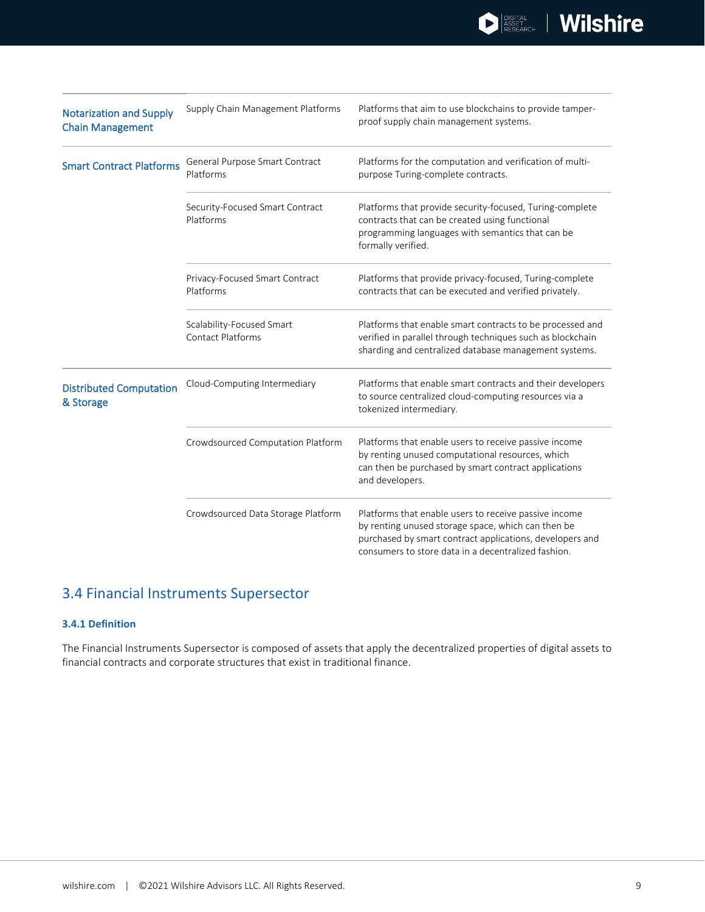| <b>Notarization and Supply</b><br><b>Chain Management</b> | Supply Chain Management Platforms                     | Platforms that aim to use blockchains to provide tamper-<br>proof supply chain management systems.                                                                                                                             |
|-----------------------------------------------------------|-------------------------------------------------------|--------------------------------------------------------------------------------------------------------------------------------------------------------------------------------------------------------------------------------|
| <b>Smart Contract Platforms</b>                           | General Purpose Smart Contract<br>Platforms           | Platforms for the computation and verification of multi-<br>purpose Turing-complete contracts.                                                                                                                                 |
|                                                           | Security-Focused Smart Contract<br>Platforms          | Platforms that provide security-focused, Turing-complete<br>contracts that can be created using functional<br>programming languages with semantics that can be<br>formally verified.                                           |
|                                                           | Privacy-Focused Smart Contract<br>Platforms           | Platforms that provide privacy-focused, Turing-complete<br>contracts that can be executed and verified privately.                                                                                                              |
|                                                           | Scalability-Focused Smart<br><b>Contact Platforms</b> | Platforms that enable smart contracts to be processed and<br>verified in parallel through techniques such as blockchain<br>sharding and centralized database management systems.                                               |
| <b>Distributed Computation</b><br>& Storage               | Cloud-Computing Intermediary                          | Platforms that enable smart contracts and their developers<br>to source centralized cloud-computing resources via a<br>tokenized intermediary.                                                                                 |
|                                                           | Crowdsourced Computation Platform                     | Platforms that enable users to receive passive income<br>by renting unused computational resources, which<br>can then be purchased by smart contract applications<br>and developers.                                           |
|                                                           | Crowdsourced Data Storage Platform                    | Platforms that enable users to receive passive income<br>by renting unused storage space, which can then be<br>purchased by smart contract applications, developers and<br>consumers to store data in a decentralized fashion. |

### <span id="page-8-0"></span>3.4 Financial Instruments Supersector

### <span id="page-8-1"></span>**3.4.1 Definition**

The Financial Instruments Supersector is composed of assets that apply the decentralized properties of digital assets to financial contracts and corporate structures that exist in traditional finance.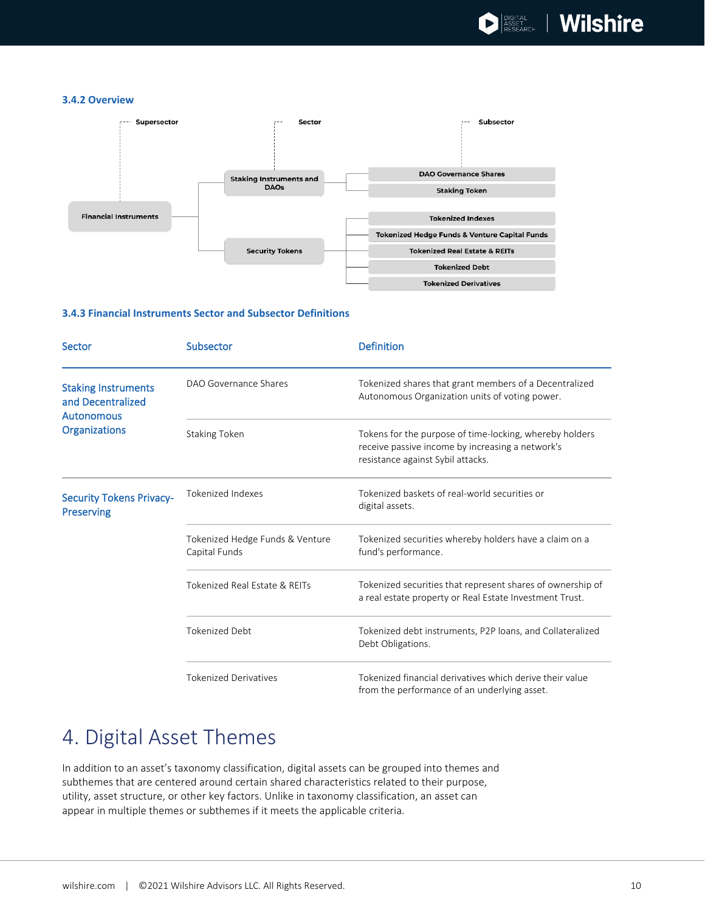#### <span id="page-9-0"></span>**3.4.2 Overview**



#### <span id="page-9-1"></span>**3.4.3 Financial Instruments Sector and Subsector Definitions**

| <b>Sector</b>                                                        | Subsector                                        | <b>Definition</b>                                                                                                                                |
|----------------------------------------------------------------------|--------------------------------------------------|--------------------------------------------------------------------------------------------------------------------------------------------------|
| <b>Staking Instruments</b><br>and Decentralized<br><b>Autonomous</b> | DAO Governance Shares                            | Tokenized shares that grant members of a Decentralized<br>Autonomous Organization units of voting power.                                         |
| <b>Organizations</b>                                                 | <b>Staking Token</b>                             | Tokens for the purpose of time-locking, whereby holders<br>receive passive income by increasing a network's<br>resistance against Sybil attacks. |
| <b>Security Tokens Privacy-</b><br><b>Preserving</b>                 | <b>Tokenized Indexes</b>                         | Tokenized baskets of real-world securities or<br>digital assets.                                                                                 |
|                                                                      | Tokenized Hedge Funds & Venture<br>Capital Funds | Tokenized securities whereby holders have a claim on a<br>fund's performance.                                                                    |
|                                                                      | Tokenized Real Estate & REITs                    | Tokenized securities that represent shares of ownership of<br>a real estate property or Real Estate Investment Trust.                            |
|                                                                      | <b>Tokenized Debt</b>                            | Tokenized debt instruments, P2P loans, and Collateralized<br>Debt Obligations.                                                                   |
|                                                                      | <b>Tokenized Derivatives</b>                     | Tokenized financial derivatives which derive their value<br>from the performance of an underlying asset.                                         |

## <span id="page-9-2"></span>4. Digital Asset Themes

In addition to an asset's taxonomy classification, digital assets can be grouped into themes and subthemes that are centered around certain shared characteristics related to their purpose, utility, asset structure, or other key factors. Unlike in taxonomy classification, an asset can appear in multiple themes or subthemes if it meets the applicable criteria.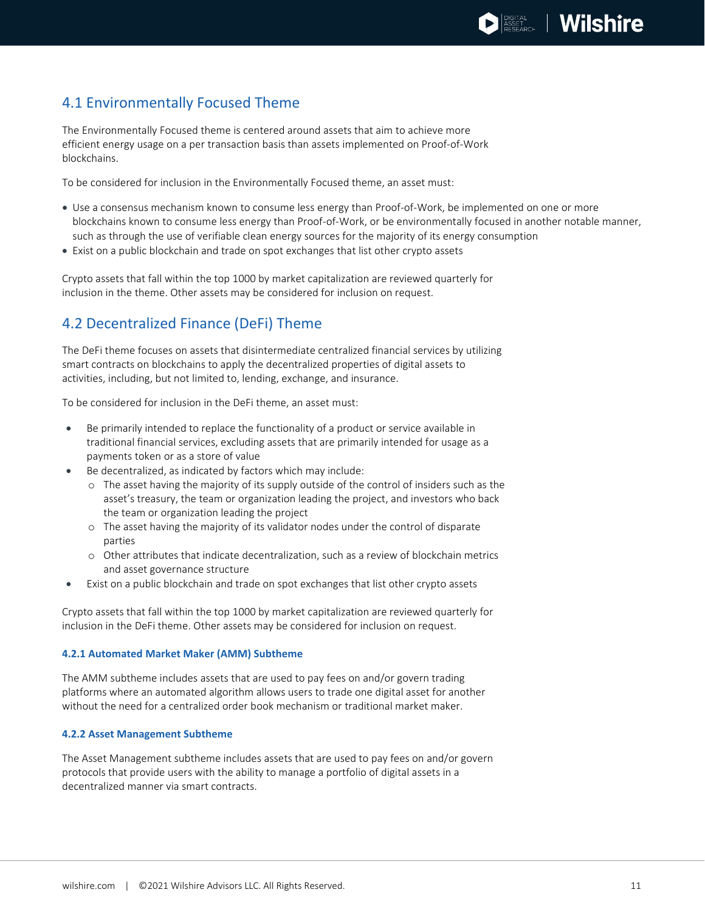### <span id="page-10-0"></span>4.1 Environmentally Focused Theme

The Environmentally Focused theme is centered around assets that aim to achieve more efficient energy usage on a per transaction basis than assets implemented on Proof-of-Work blockchains.

To be considered for inclusion in the Environmentally Focused theme, an asset must:

- Use a consensus mechanism known to consume less energy than Proof-of-Work, be implemented on one or more blockchains known to consume less energy than Proof-of-Work, or be environmentally focused in another notable manner, such as through the use of verifiable clean energy sources for the majority of its energy consumption
- Exist on a public blockchain and trade on spot exchanges that list other crypto assets

Crypto assets that fall within the top 1000 by market capitalization are reviewed quarterly for inclusion in the theme. Other assets may be considered for inclusion on request.

### <span id="page-10-1"></span>4.2 Decentralized Finance (DeFi) Theme

The DeFi theme focuses on assets that disintermediate centralized financial services by utilizing smart contracts on blockchains to apply the decentralized properties of digital assets to activities, including, but not limited to, lending, exchange, and insurance.

To be considered for inclusion in the DeFi theme, an asset must:

- Be primarily intended to replace the functionality of a product or service available in traditional financial services, excluding assets that are primarily intended for usage as a payments token or as a store of value
- Be decentralized, as indicated by factors which may include:
	- o The asset having the majority of its supply outside of the control of insiders such as the asset's treasury, the team or organization leading the project, and investors who back the team or organization leading the project
	- o The asset having the majority of its validator nodes under the control of disparate parties
	- o Other attributes that indicate decentralization, such as a review of blockchain metrics and asset governance structure
- Exist on a public blockchain and trade on spot exchanges that list other crypto assets

Crypto assets that fall within the top 1000 by market capitalization are reviewed quarterly for inclusion in the DeFi theme. Other assets may be considered for inclusion on request.

### <span id="page-10-2"></span>**4.2.1 Automated Market Maker (AMM) Subtheme**

The AMM subtheme includes assets that are used to pay fees on and/or govern trading platforms where an automated algorithm allows users to trade one digital asset for another without the need for a centralized order book mechanism or traditional market maker.

### <span id="page-10-3"></span>**4.2.2 Asset Management Subtheme**

The Asset Management subtheme includes assets that are used to pay fees on and/or govern protocols that provide users with the ability to manage a portfolio of digital assets in a decentralized manner via smart contracts.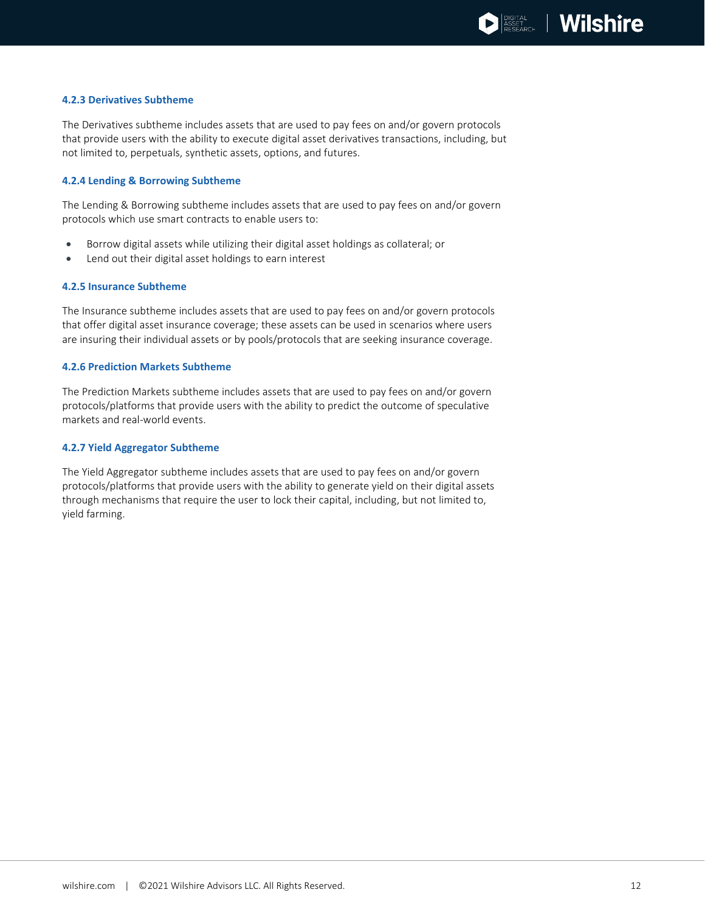#### <span id="page-11-0"></span>**4.2.3 Derivatives Subtheme**

The Derivatives subtheme includes assets that are used to pay fees on and/or govern protocols that provide users with the ability to execute digital asset derivatives transactions, including, but not limited to, perpetuals, synthetic assets, options, and futures.

### <span id="page-11-1"></span>**4.2.4 Lending & Borrowing Subtheme**

The Lending & Borrowing subtheme includes assets that are used to pay fees on and/or govern protocols which use smart contracts to enable users to:

- Borrow digital assets while utilizing their digital asset holdings as collateral; or
- Lend out their digital asset holdings to earn interest

#### <span id="page-11-2"></span>**4.2.5 Insurance Subtheme**

The Insurance subtheme includes assets that are used to pay fees on and/or govern protocols that offer digital asset insurance coverage; these assets can be used in scenarios where users are insuring their individual assets or by pools/protocols that are seeking insurance coverage.

#### <span id="page-11-3"></span>**4.2.6 Prediction Markets Subtheme**

The Prediction Markets subtheme includes assets that are used to pay fees on and/or govern protocols/platforms that provide users with the ability to predict the outcome of speculative markets and real-world events.

#### <span id="page-11-4"></span>**4.2.7 Yield Aggregator Subtheme**

The Yield Aggregator subtheme includes assets that are used to pay fees on and/or govern protocols/platforms that provide users with the ability to generate yield on their digital assets through mechanisms that require the user to lock their capital, including, but not limited to, yield farming.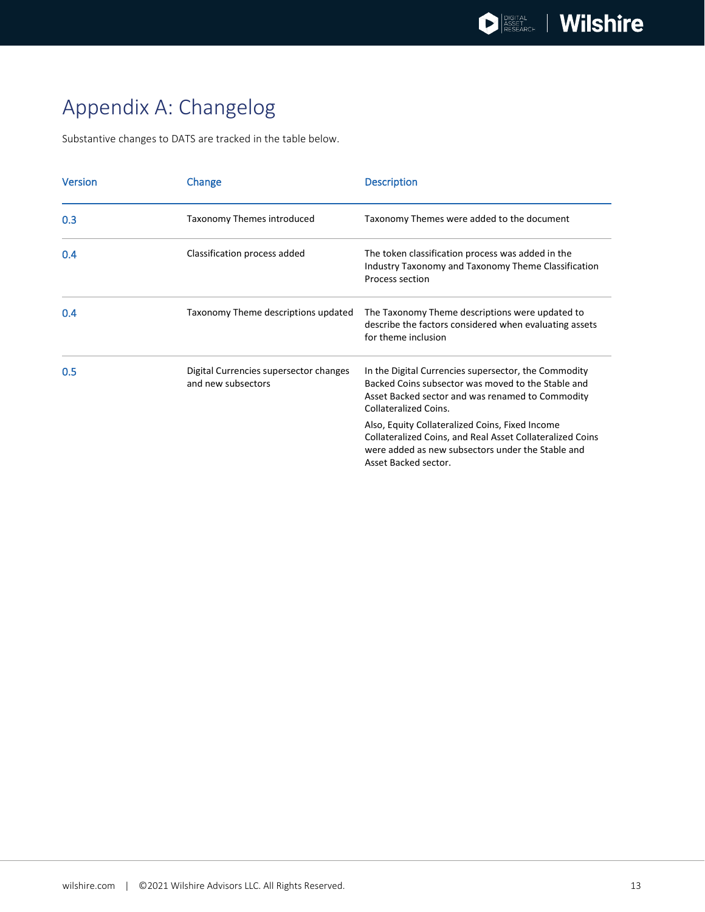## <span id="page-12-0"></span>Appendix A: Changelog

Substantive changes to DATS are tracked in the table below.

| <b>Version</b> | Change                                                       | <b>Description</b>                                                                                                                                                                             |
|----------------|--------------------------------------------------------------|------------------------------------------------------------------------------------------------------------------------------------------------------------------------------------------------|
| 0.3            | Taxonomy Themes introduced                                   | Taxonomy Themes were added to the document                                                                                                                                                     |
| 0.4            | Classification process added                                 | The token classification process was added in the<br>Industry Taxonomy and Taxonomy Theme Classification<br>Process section                                                                    |
| 0.4            | Taxonomy Theme descriptions updated                          | The Taxonomy Theme descriptions were updated to<br>describe the factors considered when evaluating assets<br>for theme inclusion                                                               |
| 0.5            | Digital Currencies supersector changes<br>and new subsectors | In the Digital Currencies supersector, the Commodity<br>Backed Coins subsector was moved to the Stable and<br>Asset Backed sector and was renamed to Commodity<br><b>Collateralized Coins.</b> |
|                |                                                              | Also, Equity Collateralized Coins, Fixed Income<br>Collateralized Coins, and Real Asset Collateralized Coins<br>were added as new subsectors under the Stable and<br>Asset Backed sector.      |